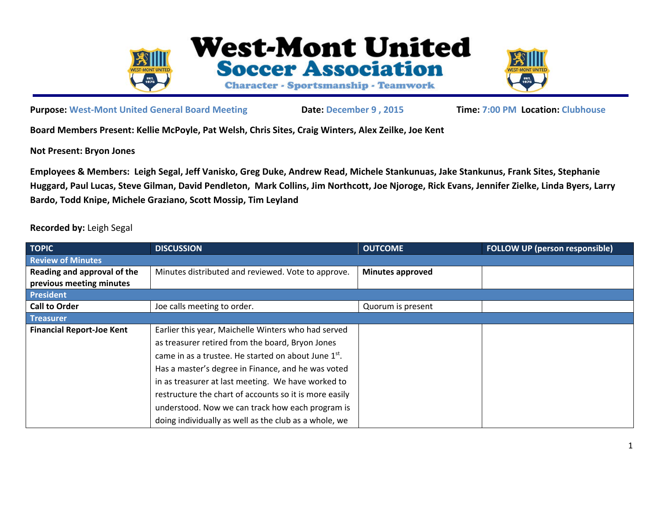

**West-Mont United Soccer Association Character - Sportsmanship - Teamwork** 



**Purpose: West‐Mont United General Board Meeting Date: December 9 , 2015 Time: 7:00 PM Location: Clubhouse**

**Board Members Present: Kellie McPoyle, Pat Welsh, Chris Sites, Craig Winters, Alex Zeilke, Joe Kent**

**Not Present: Bryon Jones** 

**Employees & Members: Leigh Segal, Jeff Vanisko, Greg Duke, Andrew Read, Michele Stankunuas, Jake Stankunus, Frank Sites, Stephanie Huggard, Paul Lucas, Steve Gilman, David Pendleton, Mark Collins, Jim Northcott, Joe Njoroge, Rick Evans, Jennifer Zielke, Linda Byers, Larry Bardo, Todd Knipe, Michele Graziano, Scott Mossip, Tim Leyland** 

**Recorded by:** Leigh Segal

| <b>TOPIC</b>                     | <b>DISCUSSION</b>                                      | <b>OUTCOME</b>          | <b>FOLLOW UP (person responsible)</b> |
|----------------------------------|--------------------------------------------------------|-------------------------|---------------------------------------|
| <b>Review of Minutes</b>         |                                                        |                         |                                       |
| Reading and approval of the      | Minutes distributed and reviewed. Vote to approve.     | <b>Minutes approved</b> |                                       |
| previous meeting minutes         |                                                        |                         |                                       |
| <b>President</b>                 |                                                        |                         |                                       |
| <b>Call to Order</b>             | Joe calls meeting to order.                            | Quorum is present       |                                       |
| <b>Treasurer</b>                 |                                                        |                         |                                       |
| <b>Financial Report-Joe Kent</b> | Earlier this year, Maichelle Winters who had served    |                         |                                       |
|                                  | as treasurer retired from the board, Bryon Jones       |                         |                                       |
|                                  | came in as a trustee. He started on about June 1st.    |                         |                                       |
|                                  | Has a master's degree in Finance, and he was voted     |                         |                                       |
|                                  | in as treasurer at last meeting. We have worked to     |                         |                                       |
|                                  | restructure the chart of accounts so it is more easily |                         |                                       |
|                                  | understood. Now we can track how each program is       |                         |                                       |
|                                  | doing individually as well as the club as a whole, we  |                         |                                       |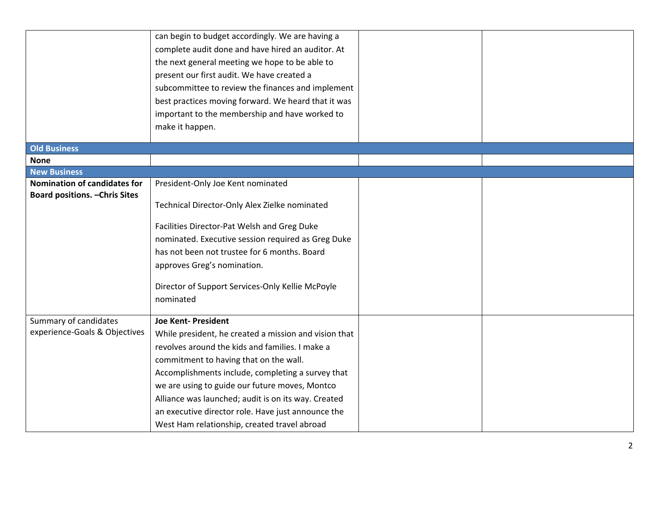|                                       | can begin to budget accordingly. We are having a<br>complete audit done and have hired an auditor. At<br>the next general meeting we hope to be able to<br>present our first audit. We have created a<br>subcommittee to review the finances and implement<br>best practices moving forward. We heard that it was |  |
|---------------------------------------|-------------------------------------------------------------------------------------------------------------------------------------------------------------------------------------------------------------------------------------------------------------------------------------------------------------------|--|
|                                       | important to the membership and have worked to                                                                                                                                                                                                                                                                    |  |
|                                       | make it happen.                                                                                                                                                                                                                                                                                                   |  |
| <b>Old Business</b>                   |                                                                                                                                                                                                                                                                                                                   |  |
| <b>None</b>                           |                                                                                                                                                                                                                                                                                                                   |  |
| <b>New Business</b>                   |                                                                                                                                                                                                                                                                                                                   |  |
| <b>Nomination of candidates for</b>   | President-Only Joe Kent nominated                                                                                                                                                                                                                                                                                 |  |
| <b>Board positions. - Chris Sites</b> | Technical Director-Only Alex Zielke nominated                                                                                                                                                                                                                                                                     |  |
|                                       | Facilities Director-Pat Welsh and Greg Duke                                                                                                                                                                                                                                                                       |  |
|                                       | nominated. Executive session required as Greg Duke                                                                                                                                                                                                                                                                |  |
|                                       | has not been not trustee for 6 months. Board                                                                                                                                                                                                                                                                      |  |
|                                       | approves Greg's nomination.                                                                                                                                                                                                                                                                                       |  |
|                                       | Director of Support Services-Only Kellie McPoyle                                                                                                                                                                                                                                                                  |  |
|                                       | nominated                                                                                                                                                                                                                                                                                                         |  |
| Summary of candidates                 | <b>Joe Kent- President</b>                                                                                                                                                                                                                                                                                        |  |
| experience-Goals & Objectives         | While president, he created a mission and vision that                                                                                                                                                                                                                                                             |  |
|                                       | revolves around the kids and families. I make a                                                                                                                                                                                                                                                                   |  |
|                                       | commitment to having that on the wall.                                                                                                                                                                                                                                                                            |  |
|                                       | Accomplishments include, completing a survey that                                                                                                                                                                                                                                                                 |  |
|                                       | we are using to guide our future moves, Montco                                                                                                                                                                                                                                                                    |  |
|                                       | Alliance was launched; audit is on its way. Created                                                                                                                                                                                                                                                               |  |
|                                       | an executive director role. Have just announce the                                                                                                                                                                                                                                                                |  |
|                                       | West Ham relationship, created travel abroad                                                                                                                                                                                                                                                                      |  |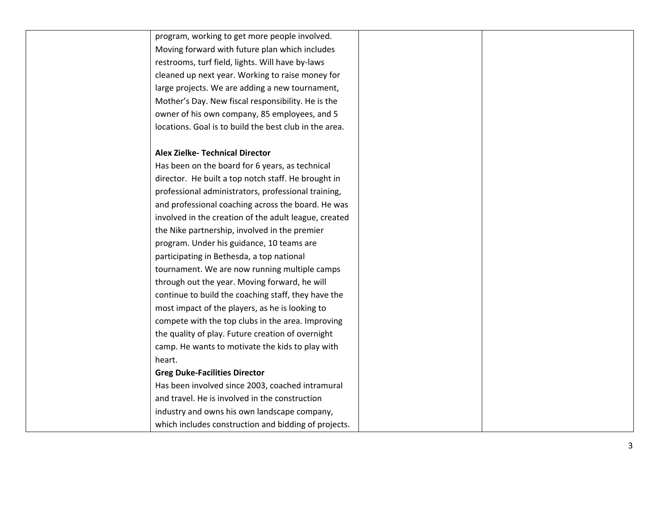| program, working to get more people involved.          |  |
|--------------------------------------------------------|--|
| Moving forward with future plan which includes         |  |
| restrooms, turf field, lights. Will have by-laws       |  |
| cleaned up next year. Working to raise money for       |  |
| large projects. We are adding a new tournament,        |  |
| Mother's Day. New fiscal responsibility. He is the     |  |
| owner of his own company, 85 employees, and 5          |  |
| locations. Goal is to build the best club in the area. |  |
|                                                        |  |
| <b>Alex Zielke- Technical Director</b>                 |  |
| Has been on the board for 6 years, as technical        |  |
| director. He built a top notch staff. He brought in    |  |
| professional administrators, professional training,    |  |
| and professional coaching across the board. He was     |  |
| involved in the creation of the adult league, created  |  |
| the Nike partnership, involved in the premier          |  |
| program. Under his guidance, 10 teams are              |  |
| participating in Bethesda, a top national              |  |
| tournament. We are now running multiple camps          |  |
| through out the year. Moving forward, he will          |  |
| continue to build the coaching staff, they have the    |  |
| most impact of the players, as he is looking to        |  |
| compete with the top clubs in the area. Improving      |  |
| the quality of play. Future creation of overnight      |  |
| camp. He wants to motivate the kids to play with       |  |
| heart.                                                 |  |
| <b>Greg Duke-Facilities Director</b>                   |  |
| Has been involved since 2003, coached intramural       |  |
| and travel. He is involved in the construction         |  |
| industry and owns his own landscape company,           |  |
| which includes construction and bidding of projects.   |  |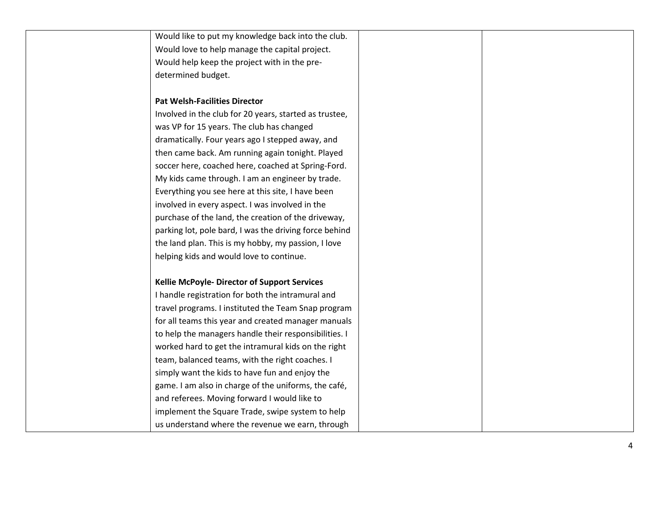| Would like to put my knowledge back into the club.     |  |
|--------------------------------------------------------|--|
| Would love to help manage the capital project.         |  |
| Would help keep the project with in the pre-           |  |
| determined budget.                                     |  |
|                                                        |  |
| <b>Pat Welsh-Facilities Director</b>                   |  |
| Involved in the club for 20 years, started as trustee, |  |
| was VP for 15 years. The club has changed              |  |
| dramatically. Four years ago I stepped away, and       |  |
| then came back. Am running again tonight. Played       |  |
| soccer here, coached here, coached at Spring-Ford.     |  |
| My kids came through. I am an engineer by trade.       |  |
| Everything you see here at this site, I have been      |  |
| involved in every aspect. I was involved in the        |  |
| purchase of the land, the creation of the driveway,    |  |
| parking lot, pole bard, I was the driving force behind |  |
| the land plan. This is my hobby, my passion, I love    |  |
| helping kids and would love to continue.               |  |
|                                                        |  |
| <b>Kellie McPoyle- Director of Support Services</b>    |  |
| I handle registration for both the intramural and      |  |
| travel programs. I instituted the Team Snap program    |  |
| for all teams this year and created manager manuals    |  |
| to help the managers handle their responsibilities. I  |  |
| worked hard to get the intramural kids on the right    |  |
| team, balanced teams, with the right coaches. I        |  |
| simply want the kids to have fun and enjoy the         |  |
| game. I am also in charge of the uniforms, the café,   |  |
| and referees. Moving forward I would like to           |  |
| implement the Square Trade, swipe system to help       |  |
| us understand where the revenue we earn, through       |  |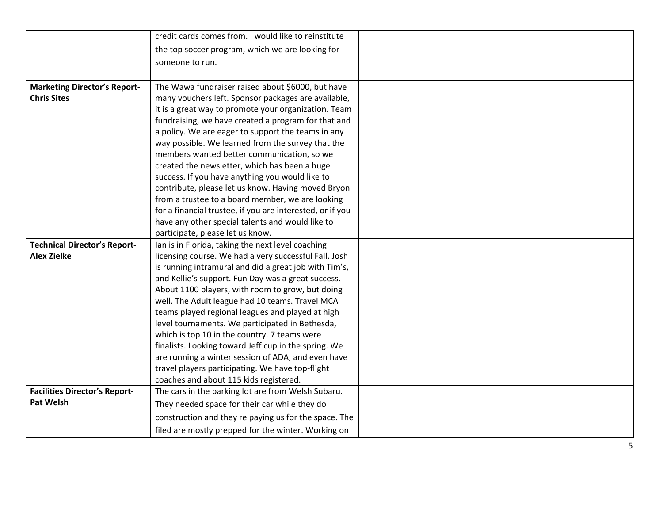|                                      | credit cards comes from. I would like to reinstitute                                                       |  |
|--------------------------------------|------------------------------------------------------------------------------------------------------------|--|
|                                      | the top soccer program, which we are looking for                                                           |  |
|                                      | someone to run.                                                                                            |  |
|                                      |                                                                                                            |  |
| <b>Marketing Director's Report-</b>  | The Wawa fundraiser raised about \$6000, but have                                                          |  |
| <b>Chris Sites</b>                   | many vouchers left. Sponsor packages are available,                                                        |  |
|                                      | it is a great way to promote your organization. Team                                                       |  |
|                                      | fundraising, we have created a program for that and                                                        |  |
|                                      | a policy. We are eager to support the teams in any                                                         |  |
|                                      | way possible. We learned from the survey that the                                                          |  |
|                                      | members wanted better communication, so we                                                                 |  |
|                                      | created the newsletter, which has been a huge                                                              |  |
|                                      | success. If you have anything you would like to                                                            |  |
|                                      | contribute, please let us know. Having moved Bryon                                                         |  |
|                                      | from a trustee to a board member, we are looking                                                           |  |
|                                      | for a financial trustee, if you are interested, or if you                                                  |  |
|                                      | have any other special talents and would like to                                                           |  |
|                                      | participate, please let us know.                                                                           |  |
| <b>Technical Director's Report-</b>  | Ian is in Florida, taking the next level coaching                                                          |  |
| <b>Alex Zielke</b>                   | licensing course. We had a very successful Fall. Josh                                                      |  |
|                                      | is running intramural and did a great job with Tim's,                                                      |  |
|                                      | and Kellie's support. Fun Day was a great success.                                                         |  |
|                                      | About 1100 players, with room to grow, but doing                                                           |  |
|                                      | well. The Adult league had 10 teams. Travel MCA                                                            |  |
|                                      | teams played regional leagues and played at high                                                           |  |
|                                      | level tournaments. We participated in Bethesda,                                                            |  |
|                                      | which is top 10 in the country. 7 teams were                                                               |  |
|                                      | finalists. Looking toward Jeff cup in the spring. We<br>are running a winter session of ADA, and even have |  |
|                                      | travel players participating. We have top-flight                                                           |  |
|                                      | coaches and about 115 kids registered.                                                                     |  |
| <b>Facilities Director's Report-</b> | The cars in the parking lot are from Welsh Subaru.                                                         |  |
| <b>Pat Welsh</b>                     | They needed space for their car while they do                                                              |  |
|                                      |                                                                                                            |  |
|                                      | construction and they re paying us for the space. The                                                      |  |
|                                      | filed are mostly prepped for the winter. Working on                                                        |  |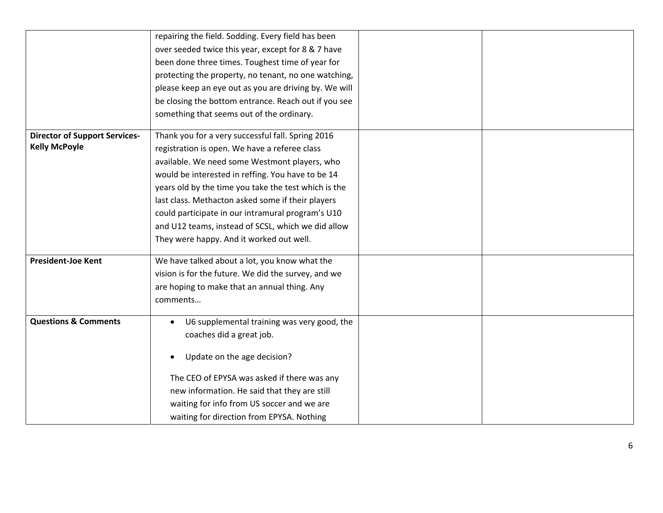|                                      | repairing the field. Sodding. Every field has been    |  |
|--------------------------------------|-------------------------------------------------------|--|
|                                      | over seeded twice this year, except for 8 & 7 have    |  |
|                                      | been done three times. Toughest time of year for      |  |
|                                      | protecting the property, no tenant, no one watching,  |  |
|                                      | please keep an eye out as you are driving by. We will |  |
|                                      | be closing the bottom entrance. Reach out if you see  |  |
|                                      | something that seems out of the ordinary.             |  |
|                                      |                                                       |  |
| <b>Director of Support Services-</b> | Thank you for a very successful fall. Spring 2016     |  |
| <b>Kelly McPoyle</b>                 | registration is open. We have a referee class         |  |
|                                      | available. We need some Westmont players, who         |  |
|                                      | would be interested in reffing. You have to be 14     |  |
|                                      | years old by the time you take the test which is the  |  |
|                                      | last class. Methacton asked some if their players     |  |
|                                      | could participate in our intramural program's U10     |  |
|                                      | and U12 teams, instead of SCSL, which we did allow    |  |
|                                      | They were happy. And it worked out well.              |  |
|                                      |                                                       |  |
| <b>President-Joe Kent</b>            | We have talked about a lot, you know what the         |  |
|                                      | vision is for the future. We did the survey, and we   |  |
|                                      | are hoping to make that an annual thing. Any          |  |
|                                      | comments                                              |  |
| <b>Questions &amp; Comments</b>      | U6 supplemental training was very good, the           |  |
|                                      |                                                       |  |
|                                      | coaches did a great job.                              |  |
|                                      | Update on the age decision?                           |  |
|                                      |                                                       |  |
|                                      | The CEO of EPYSA was asked if there was any           |  |
|                                      | new information. He said that they are still          |  |
|                                      | waiting for info from US soccer and we are            |  |
|                                      | waiting for direction from EPYSA. Nothing             |  |